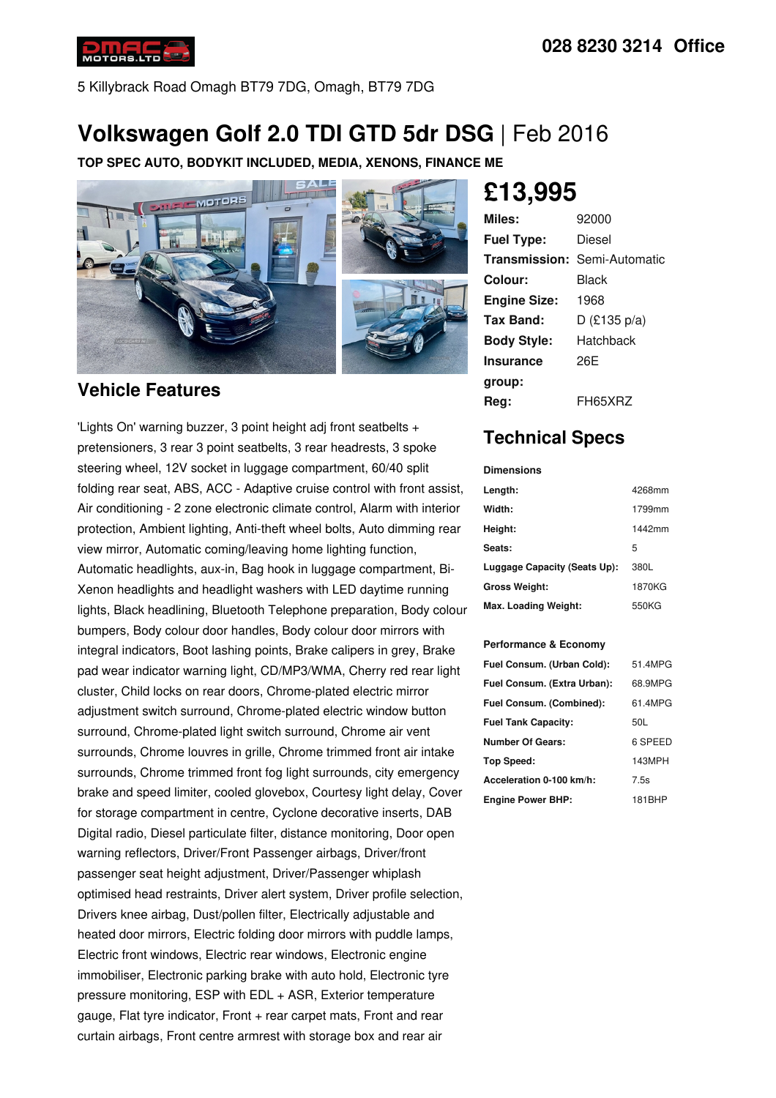5 Killybrack Road Omagh BT79 7DG, Omagh, BT79 7DG

# **Volkswagen Golf 2.0 TDI GTD 5dr DSG** | Feb 2016

**TOP SPEC AUTO, BODYKIT INCLUDED, MEDIA, XENONS, FINANCE ME**



## **Vehicle Features**

'Lights On' warning buzzer, 3 point height adj front seatbelts + pretensioners, 3 rear 3 point seatbelts, 3 rear headrests, 3 spoke steering wheel, 12V socket in luggage compartment, 60/40 split folding rear seat, ABS, ACC - Adaptive cruise control with front assist, Air conditioning - 2 zone electronic climate control, Alarm with interior protection, Ambient lighting, Anti-theft wheel bolts, Auto dimming rear view mirror, Automatic coming/leaving home lighting function, Automatic headlights, aux-in, Bag hook in luggage compartment, Bi- Xenon headlights and headlight washers with LED daytime running lights, Black headlining, Bluetooth Telephone preparation, Body colour bumpers, Body colour door handles, Body colour door mirrors with integral indicators, Boot lashing points, Brake calipers in grey, Brake pad wear indicator warning light, CD/MP3/WMA, Cherry red rear light cluster, Child locks on rear doors, Chrome-plated electric mirror adjustment switch surround, Chrome-plated electric window button surround, Chrome-plated light switch surround, Chrome air vent surrounds, Chrome louvres in grille, Chrome trimmed front air intake surrounds, Chrome trimmed front fog light surrounds, city emergency brake and speed limiter, cooled glovebox, Courtesy light delay, Cover for storage compartment in centre, Cyclone decorative inserts, DAB Digital radio, Diesel particulate filter, distance monitoring, Door open warning reflectors, Driver/Front Passenger airbags, Driver/front passenger seat height adjustment, Driver/Passenger whiplash optimised head restraints, Driver alert system, Driver profile selection, Drivers knee airbag, Dust/pollen filter, Electrically adjustable and heated door mirrors, Electric folding door mirrors with puddle lamps, Electric front windows, Electric rear windows, Electronic engine immobiliser, Electronic parking brake with auto hold, Electronic tyre pressure monitoring, ESP with EDL + ASR, Exterior temperature gauge, Flat tyre indicator, Front + rear carpet mats, Front and rear curtain airbags, Front centre armrest with storage box and rear air

# **£13,995**

| Miles:              | 92000                               |
|---------------------|-------------------------------------|
| <b>Fuel Type:</b>   | Diesel                              |
|                     | <b>Transmission: Semi-Automatic</b> |
| Colour:             | Black                               |
| <b>Engine Size:</b> | 1968                                |
| Tax Band:           | D (£135 $p/a$ )                     |
| <b>Body Style:</b>  | Hatchback                           |
| <b>Insurance</b>    | 26F                                 |
| group:              |                                     |
| Rea:                | FH65XRZ                             |

## **Technical Specs**

#### **Dimensions**

| Length:                      | 4268mm |
|------------------------------|--------|
| Width:                       | 1799mm |
| Height:                      | 1442mm |
| Seats:                       | 5      |
| Luggage Capacity (Seats Up): | 380L   |
| <b>Gross Weight:</b>         | 1870KG |
| Max. Loading Weight:         | 550KG  |

### **Performance & Economy**

| Fuel Consum. (Urban Cold):  | 51.4MPG |
|-----------------------------|---------|
| Fuel Consum. (Extra Urban): | 68.9MPG |
| Fuel Consum. (Combined):    | 61.4MPG |
| <b>Fuel Tank Capacity:</b>  | 50L     |
| <b>Number Of Gears:</b>     | 6 SPEED |
| Top Speed:                  | 143MPH  |
| Acceleration 0-100 km/h:    | 7.5s    |
| <b>Engine Power BHP:</b>    | 181BHP  |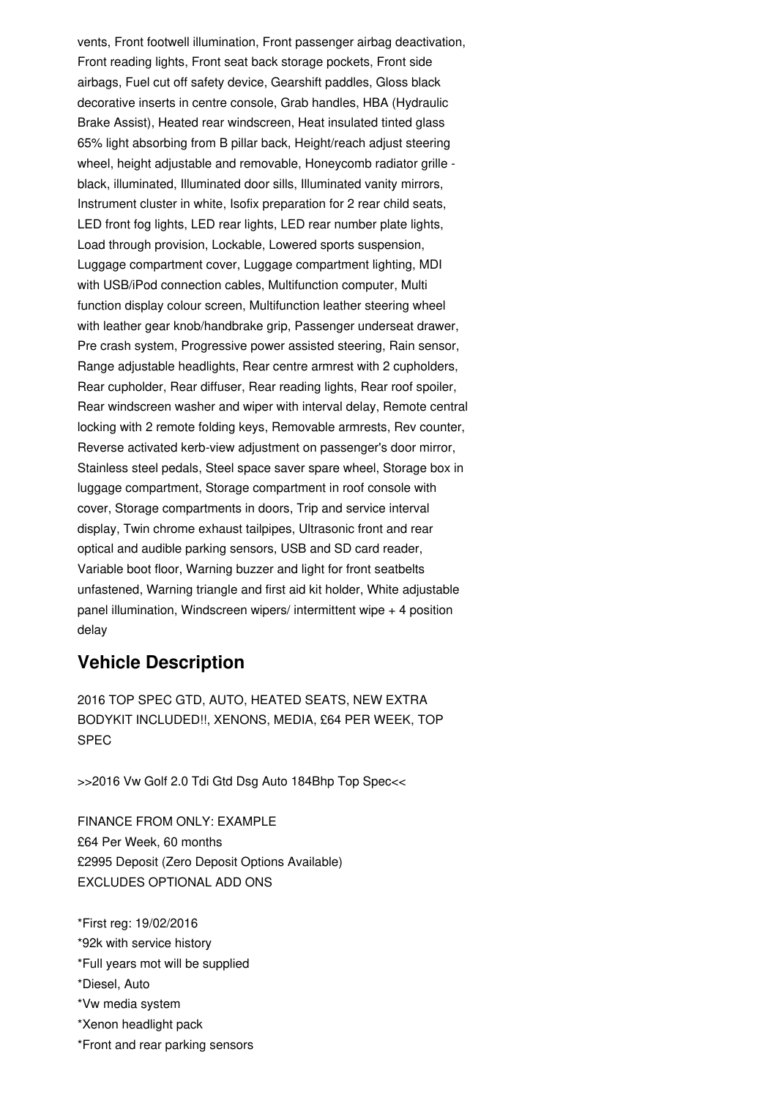vents, Front footwell illumination, Front passenger airbag deactivation, Front reading lights, Front seat back storage pockets, Front side airbags, Fuel cut off safety device, Gearshift paddles, Gloss black decorative inserts in centre console, Grab handles, HBA (Hydraulic Brake Assist), Heated rear windscreen, Heat insulated tinted glass 65% light absorbing from B pillar back, Height/reach adjust steering wheel, height adjustable and removable, Honeycomb radiator grille black, illuminated, Illuminated door sills, Illuminated vanity mirrors, Instrument cluster in white, Isofix preparation for 2 rear child seats, LED front fog lights, LED rear lights, LED rear number plate lights, Load through provision, Lockable, Lowered sports suspension, Luggage compartment cover, Luggage compartment lighting, MDI with USB/iPod connection cables, Multifunction computer, Multi function display colour screen, Multifunction leather steering wheel with leather gear knob/handbrake grip, Passenger underseat drawer, Pre crash system, Progressive power assisted steering, Rain sensor, Range adjustable headlights, Rear centre armrest with 2 cupholders, Rear cupholder, Rear diffuser, Rear reading lights, Rear roof spoiler, Rear windscreen washer and wiper with interval delay, Remote central locking with 2 remote folding keys, Removable armrests, Rev counter, Reverse activated kerb-view adjustment on passenger's door mirror, Stainless steel pedals, Steel space saver spare wheel, Storage box in luggage compartment, Storage compartment in roof console with cover, Storage compartments in doors, Trip and service interval display, Twin chrome exhaust tailpipes, Ultrasonic front and rear optical and audible parking sensors, USB and SD card reader, Variable boot floor, Warning buzzer and light for front seatbelts unfastened, Warning triangle and first aid kit holder, White adjustable panel illumination, Windscreen wipers/ intermittent wipe + 4 position delay

### **Vehicle Description**

2016 TOP SPEC GTD, AUTO, HEATED SEATS, NEW EXTRA BODYKIT INCLUDED!!, XENONS, MEDIA, £64 PER WEEK, TOP SPEC

>>2016 Vw Golf 2.0 Tdi Gtd Dsg Auto 184Bhp Top Spec<<

FINANCE FROM ONLY: EXAMPLE £64 Per Week, 60 months £2995 Deposit (Zero Deposit Options Available) EXCLUDES OPTIONAL ADD ONS

- \*First reg: 19/02/2016 \*92k with service history \*Full years mot will be supplied \*Diesel, Auto \*Vw media system \*Xenon headlight pack
- \*Front and rear parking sensors